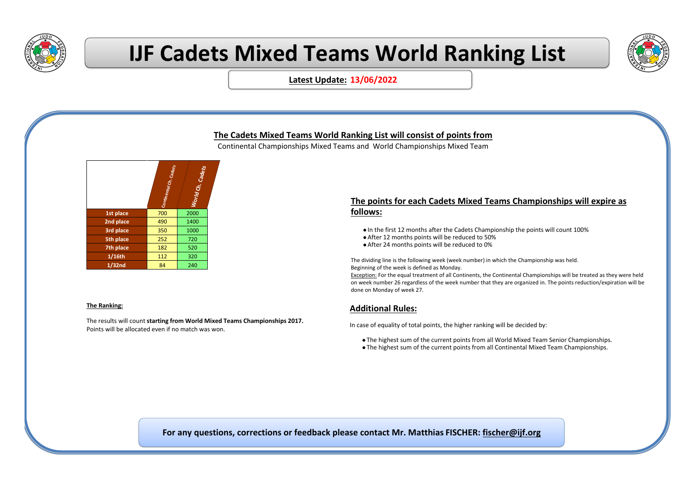

30 11 32

# **IJF Cadets Mixed Teams World Ranking List**



**Latest Update: 13/06/2022**

### **The Cadets Mixed Teams World Ranking List will consist of points from**

Continental Championships Mixed Teams and World Championships Mixed Team



#### **The Ranking:**

The results will count **starting from World Mixed Teams Championships 2017.**  Points will be allocated even if no match was won.

#### **The points for each Cadets Mixed Teams Championships will expire as follows:**

- ⚫ In the first 12 months after the Cadets Championship the points will count 100%
- ⚫ After 12 months points will be reduced to 50%
- ⚫ After 24 months points will be reduced to 0%

The dividing line is the following week (week number) in which the Championship was held. Beginning of the week is defined as Monday.

Exception: For the equal treatment of all Continents, the Continental Championships will be treated as they were held on week number 26 regardless of the week number that they are organized in. The points reduction/expiration will be done on Monday of week 27.

#### **Additional Rules:**

In case of equality of total points, the higher ranking will be decided by:

- ⚫ The highest sum of the current points from all World Mixed Team Senior Championships.
- ⚫ The highest sum of the current points from all Continental Mixed Team Championships.

**For any questions, corrections or feedback please contact Mr. Matthias FISCHER: fischer@ijf.org**